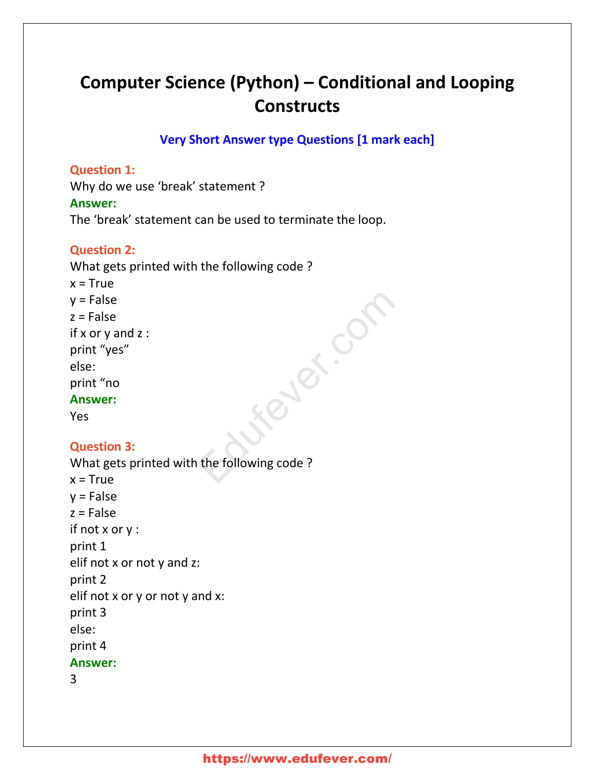# **Computer Science (Python) – Conditional and Looping Constructs**

**Very Short Answer type Questions [1 mark each]**

### **Question 1:**

Why do we use 'break' statement ? **Answer:** The 'break' statement can be used to terminate the loop.

# **Question 2:**

What gets printed with the following code ?  $x = True$  $y = False$  $z = False$ if x or y and z : print "yes" else: print "no **Answer:** Yes Ever.com

# **Question 3:**

```
What gets printed with the following code ?
x = Truev = Falsez = Falseif not x or y :
print 1
elif not x or not y and z:
print 2
elif not x or y or not y and x:
print 3
else:
print 4
Answer:
3
```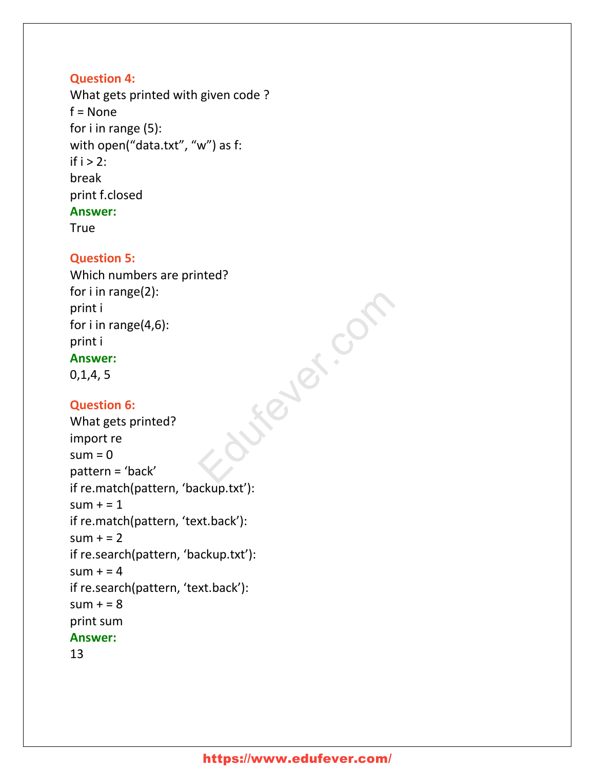# **Question 4:**

What gets printed with given code ? f = None for i in range (5): with open("data.txt", "w") as f: if  $i > 2$ : break print f.closed **Answer:**

**True** 

# **Question 5:**

Which numbers are printed? for i in range(2): print i for i in range(4,6): print i **Answer:** 0,1,4, 5

# **Question 6:**

```
What gets printed?
import re
sum = 0pattern = 'back'
if re.match(pattern, 'backup.txt'):
sum + = 1if re.match(pattern, 'text.back'):
sum + 2if re.search(pattern, 'backup.txt'):
sum + 24if re.search(pattern, 'text.back'):
sum + = 8print sum
Answer:
                           Stever.com
```
### 13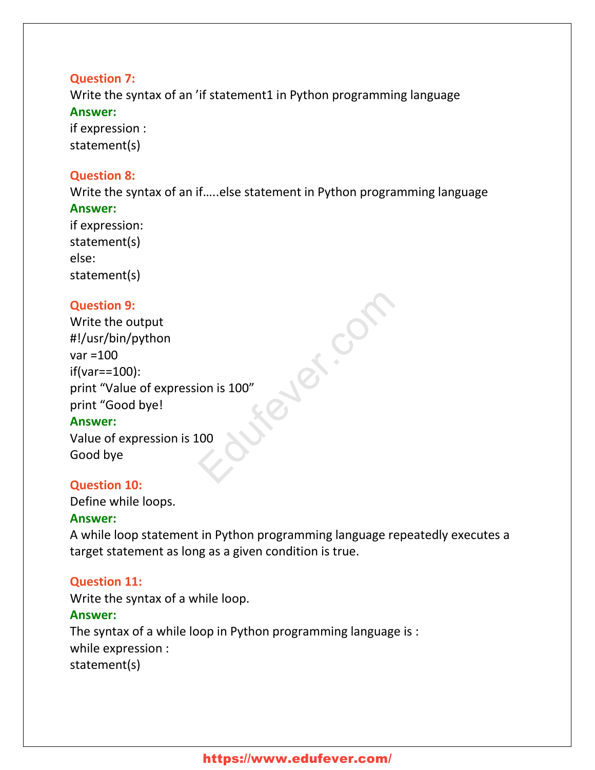# **Question 7:**

Write the syntax of an 'if statement1 in Python programming language **Answer:**

if expression : statement(s)

# **Question 8:**

Write the syntax of an if…..else statement in Python programming language **Answer:**

if expression: statement(s) else: statement(s)

# **Question 9:**

Write the output #!/usr/bin/python var =100 if(var==100): print "Value of expression is 100" print "Good bye! ever.com

### **Answer:**

Value of expression is 100 Good bye

# **Question 10:**

Define while loops.

# **Answer:**

A while loop statement in Python programming language repeatedly executes a target statement as long as a given condition is true.

# **Question 11:**

Write the syntax of a while loop.

### **Answer:**

The syntax of a while loop in Python programming language is : while expression : statement(s)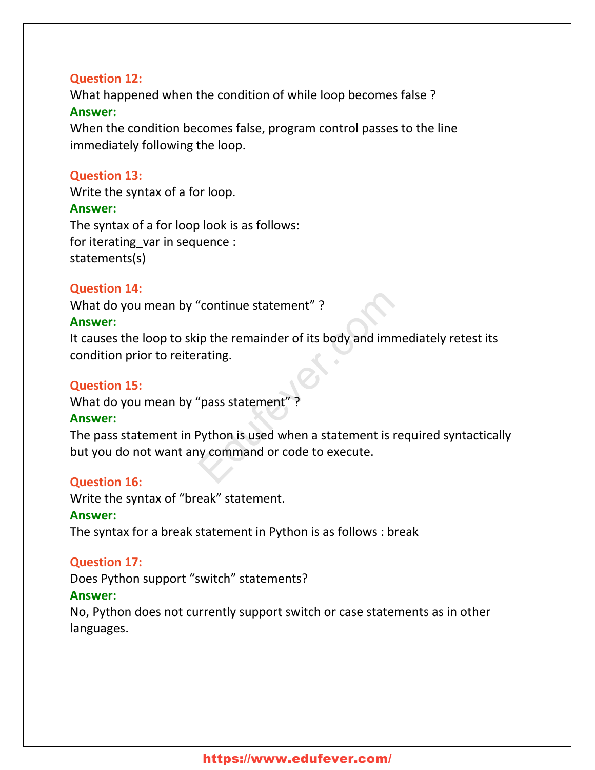### **Question 12:**

What happened when the condition of while loop becomes false ? **Answer:**

When the condition becomes false, program control passes to the line immediately following the loop.

### **Question 13:**

Write the syntax of a for loop. **Answer:** The syntax of a for loop look is as follows: for iterating\_var in sequence : statements(s)

### **Question 14:**

What do you mean by "continue statement" ? **Answer:**

It causes the loop to skip the remainder of its body and immediately retest its condition prior to reiterating. Continue statement"?<br>
Equipment of its body and immerating.<br>
Equipment of its body and immerating.<br>
Equipment of the assement is received to execute.<br>
The command or code to execute.

### **Question 15:**

What do you mean by "pass statement" ?

#### **Answer:**

The pass statement in Python is used when a statement is required syntactically but you do not want any command or code to execute.

### **Question 16:**

Write the syntax of "break" statement.

#### **Answer:**

The syntax for a break statement in Python is as follows : break

### **Question 17:**

Does Python support "switch" statements?

### **Answer:**

No, Python does not currently support switch or case statements as in other languages.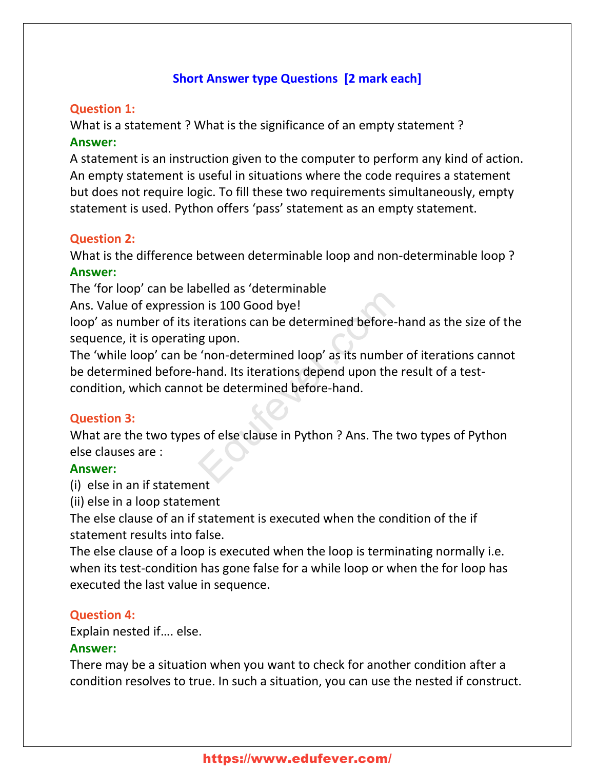# **Short Answer type Questions [2 mark each]**

### **Question 1:**

What is a statement ? What is the significance of an empty statement ? **Answer:**

A statement is an instruction given to the computer to perform any kind of action. An empty statement is useful in situations where the code requires a statement but does not require logic. To fill these two requirements simultaneously, empty statement is used. Python offers 'pass' statement as an empty statement.

#### **Question 2:**

What is the difference between determinable loop and non-determinable loop ? **Answer:**

The 'for loop' can be labelled as 'determinable

Ans. Value of expression is 100 Good bye!

loop' as number of its iterations can be determined before-hand as the size of the sequence, it is operating upon.

The 'while loop' can be 'non-determined loop' as its number of iterations cannot be determined before-hand. Its iterations depend upon the result of a testcondition, which cannot be determined before-hand. Edufever.com

### **Question 3:**

What are the two types of else clause in Python ? Ans. The two types of Python else clauses are :

#### **Answer:**

(i) else in an if statement

(ii) else in a loop statement

The else clause of an if statement is executed when the condition of the if statement results into false.

The else clause of a loop is executed when the loop is terminating normally i.e. when its test-condition has gone false for a while loop or when the for loop has executed the last value in sequence.

#### **Question 4:**

Explain nested if…. else.

### **Answer:**

There may be a situation when you want to check for another condition after a condition resolves to true. In such a situation, you can use the nested if construct.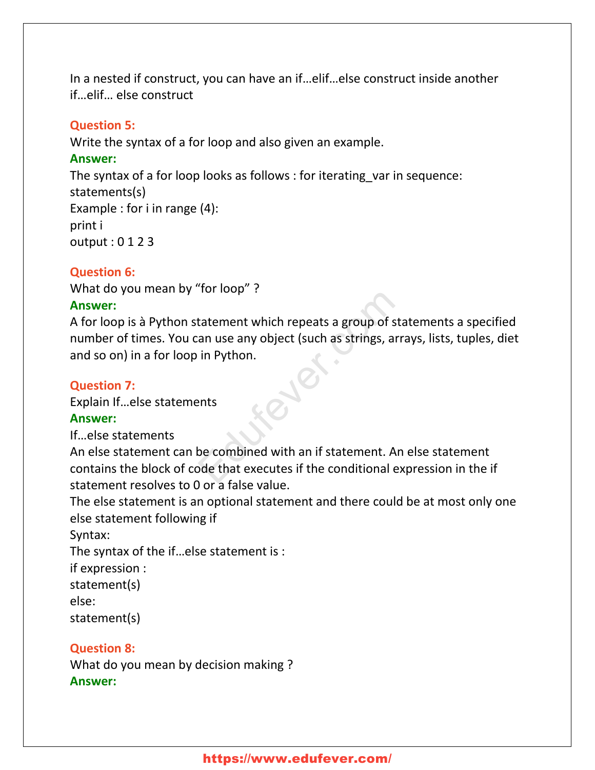In a nested if construct, you can have an if…elif…else construct inside another if…elif… else construct

#### **Question 5:**

Write the syntax of a for loop and also given an example.

#### **Answer:**

The syntax of a for loop looks as follows : for iterating var in sequence: statements(s) Example : for i in range (4): print i output : 0 1 2 3

### **Question 6:**

What do you mean by "for loop" ?

### **Answer:**

A for loop is à Python statement which repeats a group of statements a specified number of times. You can use any object (such as strings, arrays, lists, tuples, diet and so on) in a for loop in Python. The Hatement which repeats a group of statement which repeats a group of statement<br>in Python.<br>Parts<br>that securities if the conditional exponential parafalse value.

#### **Question 7:**

Explain If…else statements

### **Answer:**

If…else statements

An else statement can be combined with an if statement. An else statement contains the block of code that executes if the conditional expression in the if statement resolves to 0 or a false value.

The else statement is an optional statement and there could be at most only one else statement following if

Syntax:

The syntax of the if…else statement is :

if expression :

statement(s)

else:

statement(s)

# **Question 8:**

What do you mean by decision making ? **Answer:**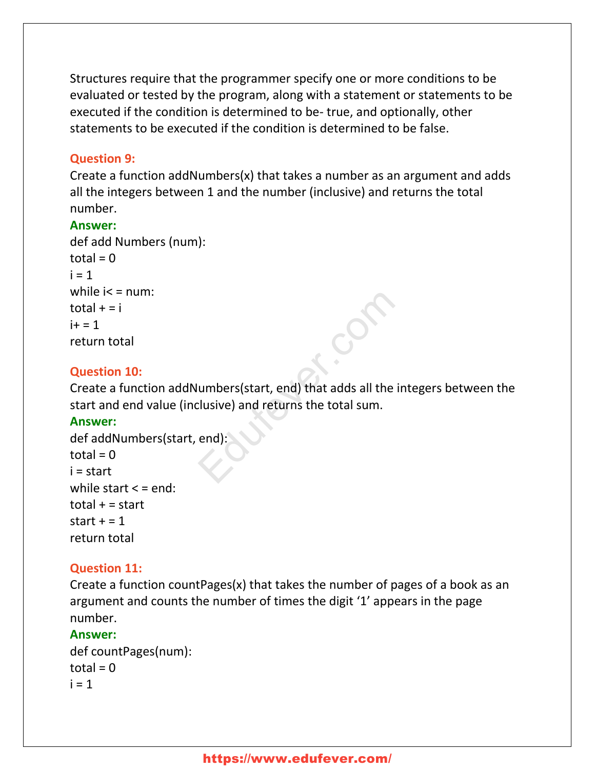Structures require that the programmer specify one or more conditions to be evaluated or tested by the program, along with a statement or statements to be executed if the condition is determined to be- true, and optionally, other statements to be executed if the condition is determined to be false.

### **Question 9:**

Create a function addNumbers(x) that takes a number as an argument and adds all the integers between 1 and the number (inclusive) and returns the total number.

### **Answer:**

```
def add Numbers (num):
total = 0i = 1while i < = num:
total + = ii + = 1return total
```
# **Question 10:**

Create a function addNumbers(start, end) that adds all the integers between the start and end value (inclusive) and returns the total sum. umbers(start, end) that adds all the in-<br>clusive) and returns the total sum.<br>end):

### **Answer:**

```
def addNumbers(start, end):
total = 0i = start
while start \leq = end:
total + = startstart + = 1return total
```
# **Question 11:**

Create a function countPages(x) that takes the number of pages of a book as an argument and counts the number of times the digit '1' appears in the page number.

### **Answer:**

def countPages(num):  $total = 0$  $i = 1$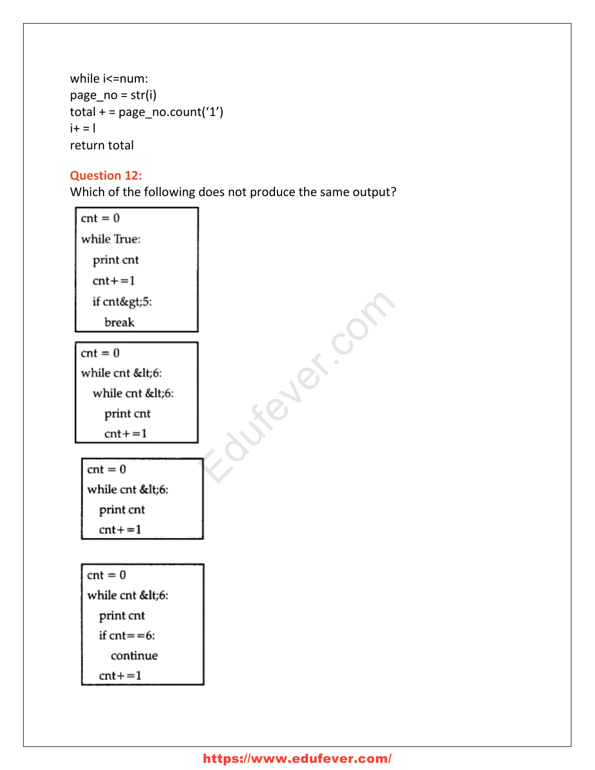```
while i<=num:
page_no = str(i)total + = page\_no.count('1')i+ = 1return total
```
# **Question 12:**

Which of the following does not produce the same output?

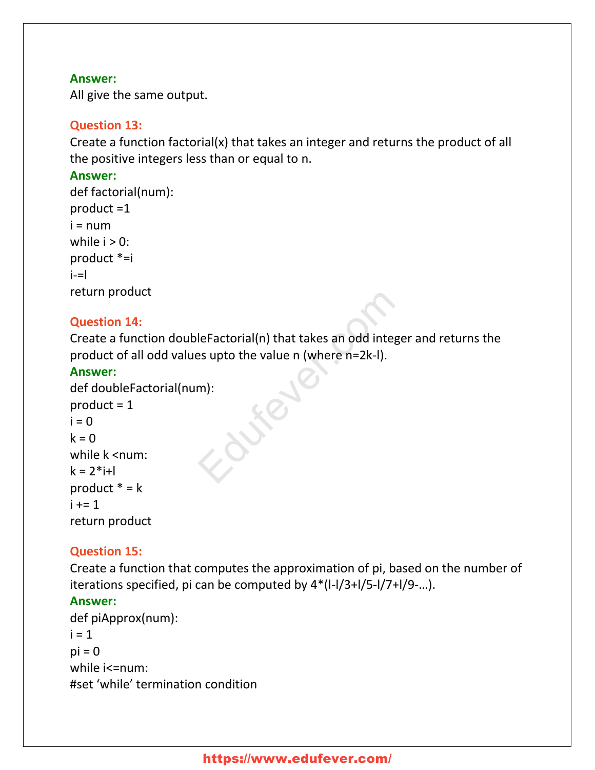### **Answer:**

All give the same output.

# **Question 13:**

Create a function factorial(x) that takes an integer and returns the product of all the positive integers less than or equal to n.

# **Answer:**

```
def factorial(num):
product =1
i = numwhile i > 0:
product *=i
i=-return product
```
# **Question 14:**

Create a function doubleFactorial(n) that takes an odd integer and returns the product of all odd values upto the value n (where n=2k-l). leFactorial(n) that takes an odd integeres upto the value n (where n=2k-l).

### **Answer:**

```
def doubleFactorial(num):
product = 1i = 0k = 0while k <num:
k = 2 * i + lproduct * = ki + 1return product
```
# **Question 15:**

Create a function that computes the approximation of pi, based on the number of iterations specified, pi can be computed by 4\*(l-l/3+l/5-l/7+l/9-…).

# **Answer:**

```
def piApprox(num):
i = 1pi = 0while i<=num:
#set 'while' termination condition
```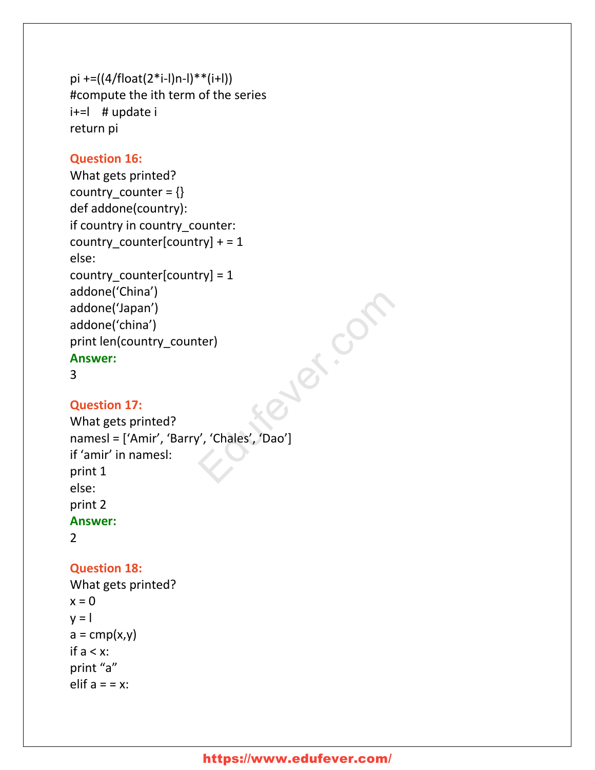```
pi +=((4/float(2<sup>*</sup>i-l)n-l)**(i+l))#compute the ith term of the series
i+=l # update i
return pi
```
### **Question 16:**

```
What gets printed?
country counter = \{\}def addone(country):
if country in country_counter:
country_counter[country] += 1else:
country_counter[country] = 1
addone('China')
addone('Japan')
addone('china')
print len(country_counter)
Answer:
```

```
3
```
### **Question 17:**

```
What gets printed?
namesl = ['Amir', 'Barry', 'Chales', 'Dao']
if 'amir' in namesl:
print 1
else:
print 2
Answer:
2
                               Zuer.com
```
### **Question 18:**

```
What gets printed?
x = 0v = 1a = \text{cmp}(x, y)if a < x:
print "a"
elif a = x:
```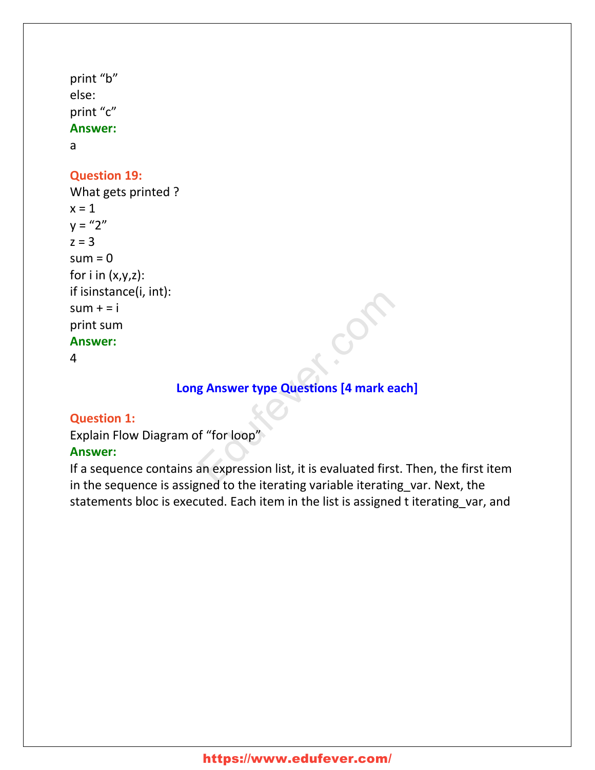```
print "b"
else:
print "c"
Answer:
```
a

# **Question 19:**

What gets printed ?  $x = 1$  $y = 2''$  $z = 3$  $sum = 0$ for  $i$  in  $(x,y,z)$ : if isinstance(i, int):  $sum + i$ print sum **Answer:**

4

# **Long Answer type Questions [4 mark each]**

# **Question 1:**

Explain Flow Diagram of "for loop" **Answer:**

If a sequence contains an expression list, it is evaluated first. Then, the first item in the sequence is assigned to the iterating variable iterating\_var. Next, the statements bloc is executed. Each item in the list is assigned t iterating var, and Example 2014<br>
Educations (4 mark each<br>
Fail of the interversion of the interversion of the interversion of the interversion of the interversion of the state<br>
Expecting the interversion of the interversion of the interversi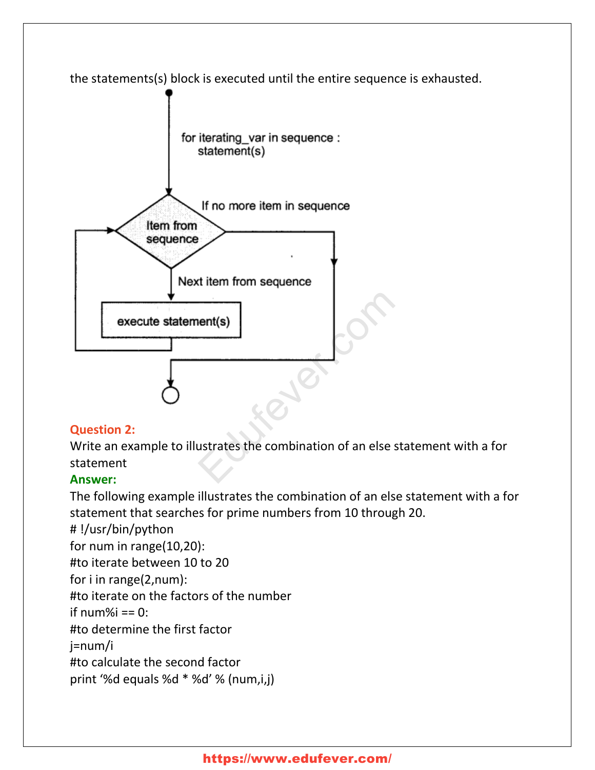

# **Question 2:**

Write an example to illustrates the combination of an else statement with a for statement

# **Answer:**

The following example illustrates the combination of an else statement with a for statement that searches for prime numbers from 10 through 20.

# !/usr/bin/python

for num in range(10,20):

#to iterate between 10 to 20

for i in range(2,num):

#to iterate on the factors of the number

if num% $i = 0$ :

#to determine the first factor

j=num/i

#to calculate the second factor

print '%d equals %d \* %d' % (num,i,j)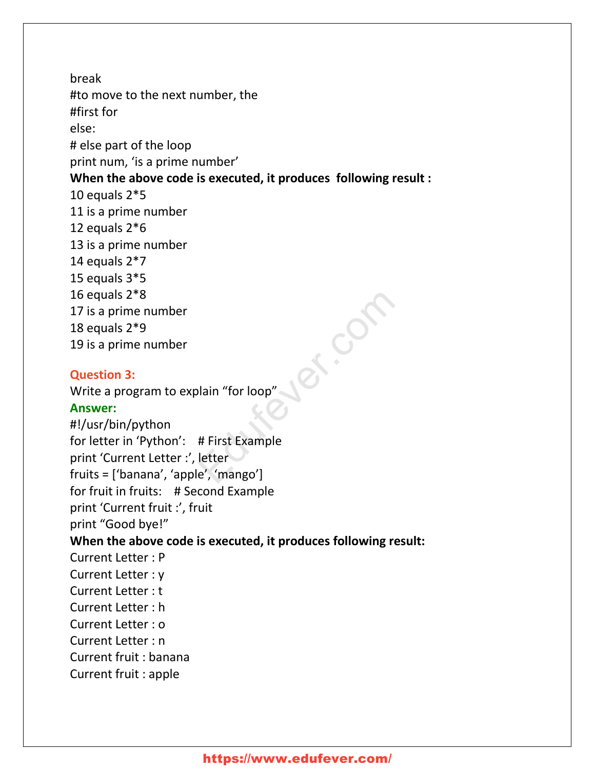break #to move to the next number, the #first for else: # else part of the loop print num, 'is a prime number' **When the above code is executed, it produces following result :** 10 equals 2\*5 11 is a prime number 12 equals 2\*6 13 is a prime number 14 equals  $2*7$ 15 equals 3\*5 16 equals 2\*8 17 is a prime number 18 equals 2\*9 19 is a prime number **Question 3:** Write a program to explain "for loop" **Answer:** #!/usr/bin/python for letter in 'Python': # First Example print 'Current Letter :', letter fruits = ['banana', 'apple', 'mango'] for fruit in fruits: # Second Example print 'Current fruit :', fruit print "Good bye!" **When the above code is executed, it produces following result:** Current Letter : P Current Letter : y Current Letter : t Current Letter : h Current Letter : o Current Letter : n Current fruit : banana Current fruit : apple ed.com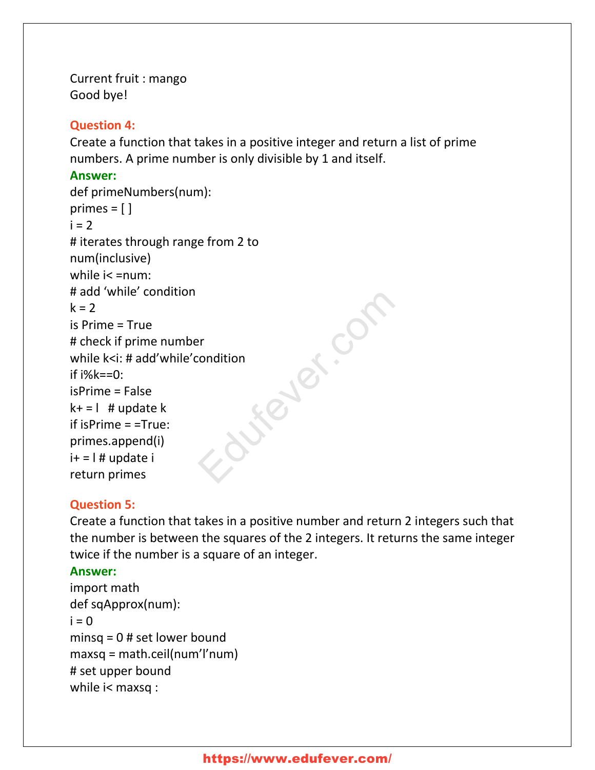Current fruit : mango Good bye!

### **Question 4:**

Create a function that takes in a positive integer and return a list of prime numbers. A prime number is only divisible by 1 and itself.

### **Answer:**

```
def primeNumbers(num):
primes = [ ]i = 2# iterates through range from 2 to
num(inclusive)
while i< =num:
# add 'while' condition
k = 2is Prime = True
# check if prime number
while k<i: # add'while'condition
if i%k == 0:
isPrime = False
k+ = 1 # update k
if isPrime = =True:
primes.append(i)
i+ = 1 # update i
return primes
                           Liewer.com
```
# **Question 5:**

Create a function that takes in a positive number and return 2 integers such that the number is between the squares of the 2 integers. It returns the same integer twice if the number is a square of an integer.

# **Answer:**

```
import math
def sqApprox(num):
i = 0minsq = 0 # set lower bound
maxsq = math.ceil(num'l'num)
# set upper bound
while i< maxsq :
```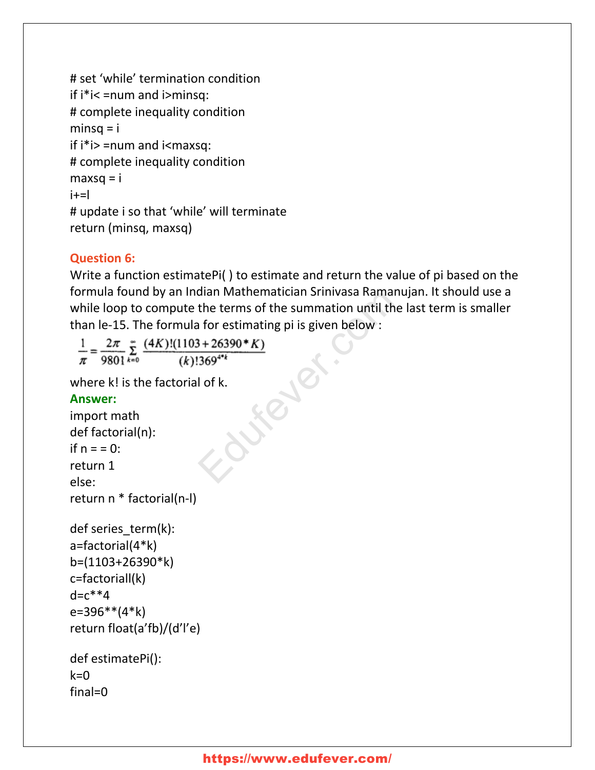```
# set 'while' termination condition
if i*i< =num and i>minsq:
# complete inequality condition
minsq = iif i^*i = num and i<maxsq:
# complete inequality condition
max<sub>g</sub> = ii+=l
# update i so that 'while' will terminate
return (minsq, maxsq)
```
# **Question 6:**

Write a function estimatePi( ) to estimate and return the value of pi based on the formula found by an Indian Mathematician Srinivasa Ramanujan. It should use a while loop to compute the terms of the summation until the last term is smaller than le-15. The formula for estimating pi is given below : Gradian Mathematician Srinvasa Ramanu<br>the terms of the summation until the l<br>a for estimating pi is given below :<br> $\frac{3+26390*K}{369^{4*}k}$ <br>I of k.

where k! is the factorial of k.

### **Answer:**

```
import math
def factorial(n):
if n = 0:
return 1
else:
return n * factorial(n-l)
```

```
def series_term(k):
a=factorial(4*k)
b=(1103+26390*k)
c=factoriall(k)
d = c^* * 4e=396**(4*k)
return float(a'fb)/(d'l'e)
```

```
def estimatePi():
k=0final=0
```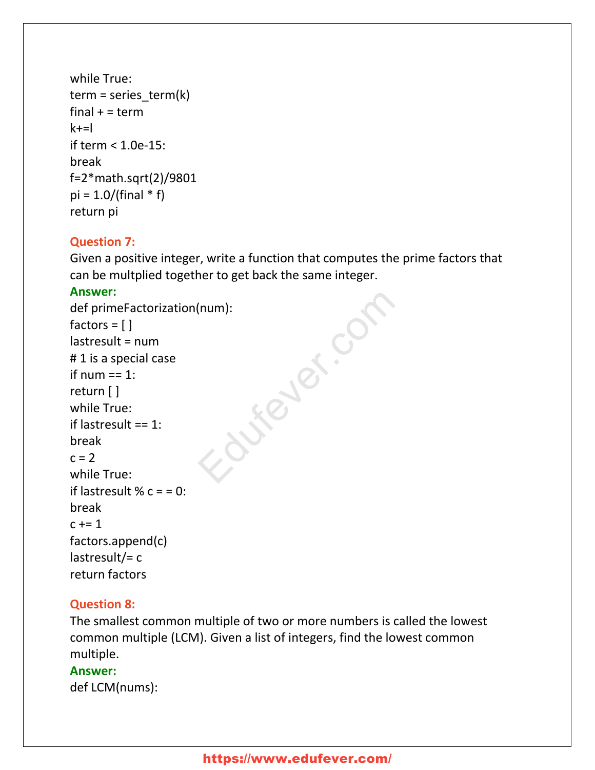```
while True:
term = series_t term(k)
final + = term
k+1if term < 1.0e-15:
break
f=2*math.sqrt(2)/9801
pi = 1.0/(final * f)return pi
```
### **Question 7:**

Given a positive integer, write a function that computes the prime factors that can be multplied together to get back the same integer.

### **Answer:**

```
def primeFactorization(num):
factors = [ ]lastresult = num
# 1 is a special case
if num == 1:
return [ ]
while True:
if lastresult == 1:
break
c = 2while True:
if lastresult % c = 0:
break
c += 1factors.append(c)
lastresult/= creturn factors
                        Engeland.
```
# **Question 8:**

The smallest common multiple of two or more numbers is called the lowest common multiple (LCM). Given a list of integers, find the lowest common multiple.

### **Answer:**

def LCM(nums):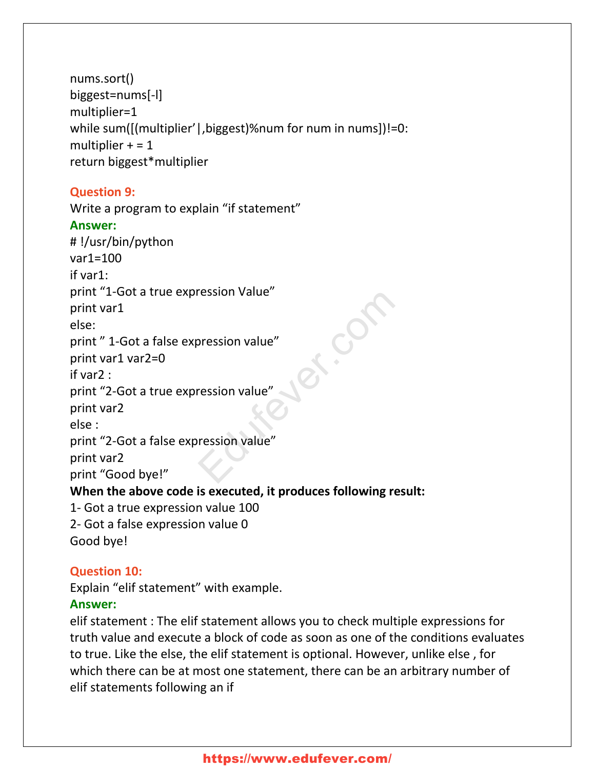nums.sort() biggest=nums[-l] multiplier=1 while sum([(multiplier' | , biggest)%num for num in nums])!=0: multiplier  $+ = 1$ return biggest\*multiplier

# **Question 9:**

Write a program to explain "if statement" **Answer:** # !/usr/bin/python var1=100 if var1: print "1-Got a true expression Value" print var1 else: print " 1-Got a false expression value" print var1 var2=0 if var2 : print "2-Got a true expression value" print var2 else : print "2-Got a false expression value" print var2 print "Good bye!" **When the above code is executed, it produces following result:** 1- Got a true expression value 100 2- Got a false expression value 0 Good bye! Education

# **Question 10:**

Explain "elif statement" with example.

# **Answer:**

elif statement : The elif statement allows you to check multiple expressions for truth value and execute a block of code as soon as one of the conditions evaluates to true. Like the else, the elif statement is optional. However, unlike else , for which there can be at most one statement, there can be an arbitrary number of elif statements following an if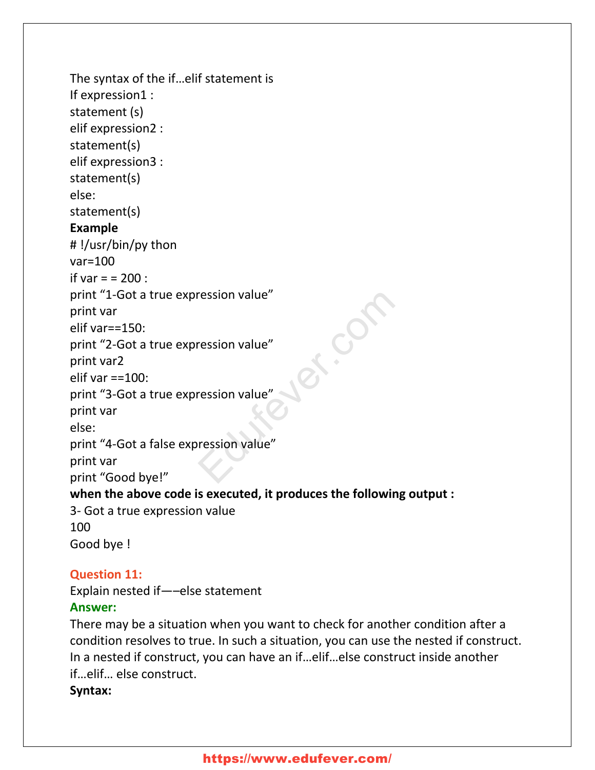```
The syntax of the if…elif statement is
If expression1 :
statement (s)
elif expression2 :
statement(s)
elif expression3 :
statement(s)
else:
statement(s)
Example
# !/usr/bin/py thon
var=100
if var = 200 :
print "1-Got a true expression value"
print var
elif var==150:
print "2-Got a true expression value"
print var2
elif var ==100:
print "3-Got a true expression value"
print var
else:
print "4-Got a false expression value"
print var
print "Good bye!"
when the above code is executed, it produces the following output :
3- Got a true expression value
100
Good bye !
                                         Principal
```
# **Question 11:**

Explain nested if—–else statement

### **Answer:**

There may be a situation when you want to check for another condition after a condition resolves to true. In such a situation, you can use the nested if construct. In a nested if construct, you can have an if…elif…else construct inside another if…elif… else construct.

### **Syntax:**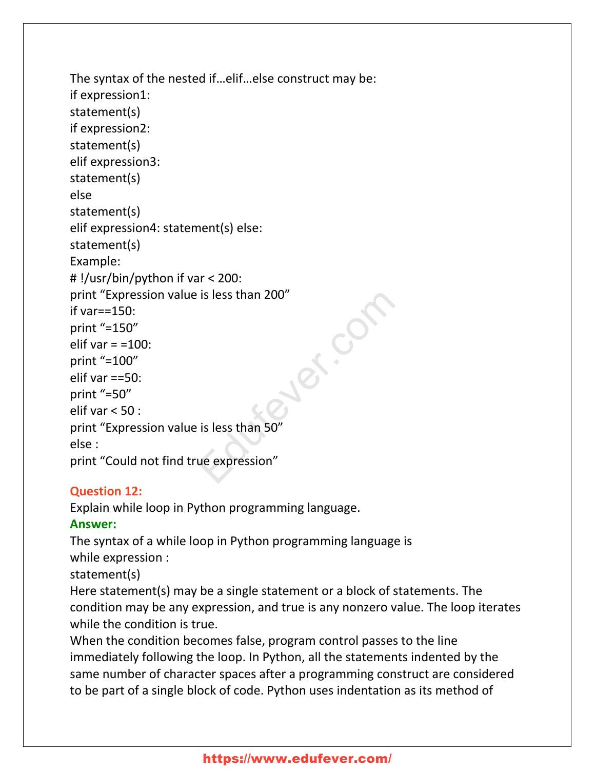```
The syntax of the nested if…elif…else construct may be:
if expression1:
statement(s)
if expression2:
statement(s)
elif expression3:
statement(s)
else
statement(s)
elif expression4: statement(s) else:
statement(s)
Example:
# !/usr/bin/python if var < 200:
print "Expression value is less than 200"
if var==150:
print "=150"
elif var = =100:
print "=100"
elif var ==50:
print "=50"
elif var < 50 :
print "Expression value is less than 50"
else :
print "Could not find true expression"
                                        ex.com
```
# **Question 12:**

Explain while loop in Python programming language.

# **Answer:**

The syntax of a while loop in Python programming language is while expression :

statement(s)

Here statement(s) may be a single statement or a block of statements. The condition may be any expression, and true is any nonzero value. The loop iterates while the condition is true.

When the condition becomes false, program control passes to the line immediately following the loop. In Python, all the statements indented by the same number of character spaces after a programming construct are considered to be part of a single block of code. Python uses indentation as its method of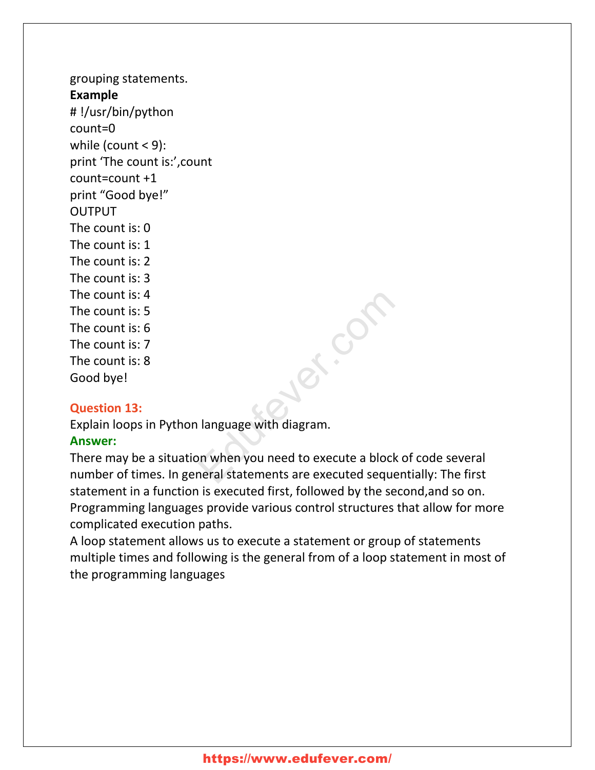grouping statements. **Example** # !/usr/bin/python count=0 while (count < 9): print 'The count is:',count count=count +1 print "Good bye!" **OUTPUT** The count is: 0 The count is: 1 The count is: 2 The count is: 3 The count is: 4 The count is: 5 The count is: 6 The count is: 7 The count is: 8 Good bye!

### **Question 13:**

Explain loops in Python language with diagram.

# **Answer:**

There may be a situation when you need to execute a block of code several number of times. In general statements are executed sequentially: The first statement in a function is executed first, followed by the second,and so on. Programming languages provide various control structures that allow for more complicated execution paths.

Education

A loop statement allows us to execute a statement or group of statements multiple times and following is the general from of a loop statement in most of the programming languages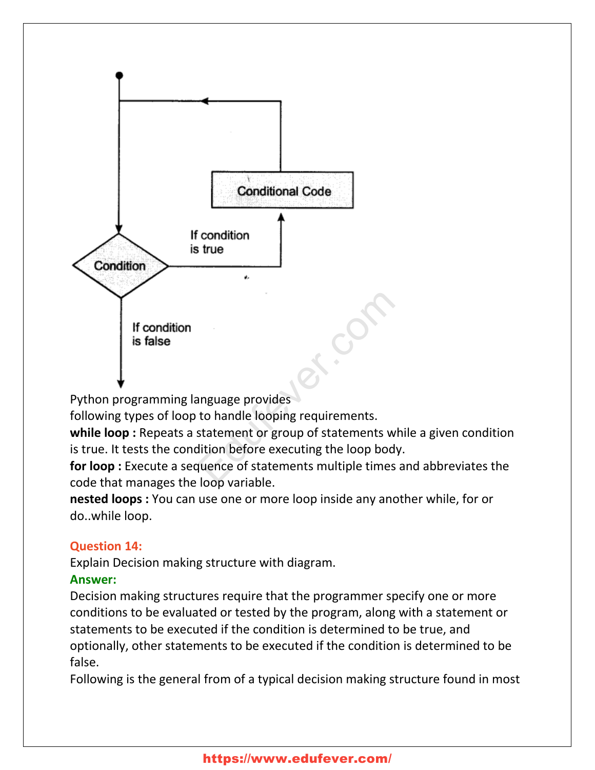

Python programming language provides

following types of loop to handle looping requirements.

**while loop :** Repeats a statement or group of statements while a given condition is true. It tests the condition before executing the loop body.

**for loop :** Execute a sequence of statements multiple times and abbreviates the code that manages the loop variable.

**nested loops :** You can use one or more loop inside any another while, for or do..while loop.

# **Question 14:**

Explain Decision making structure with diagram.

# **Answer:**

Decision making structures require that the programmer specify one or more conditions to be evaluated or tested by the program, along with a statement or statements to be executed if the condition is determined to be true, and optionally, other statements to be executed if the condition is determined to be false.

Following is the general from of a typical decision making structure found in most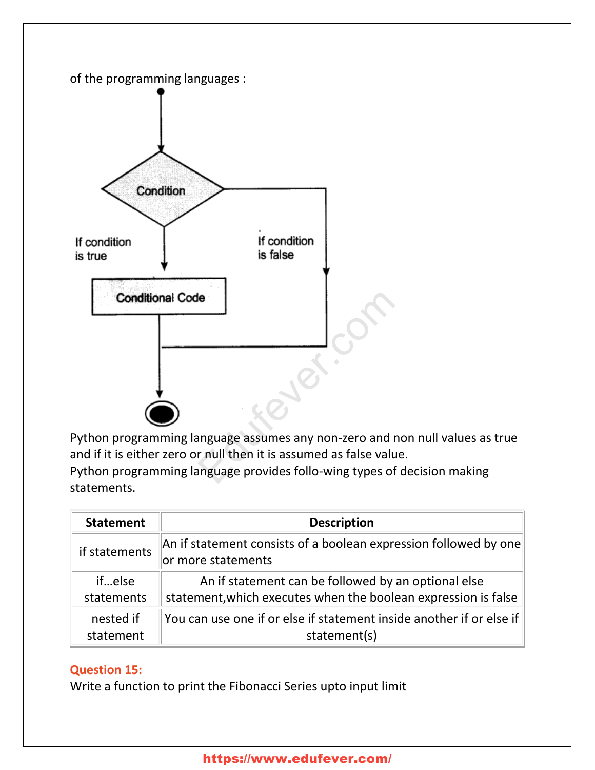

Python programming language assumes any non-zero and non null values as true and if it is either zero or null then it is assumed as false value. Python programming language provides follo-wing types of decision making statements.

| <b>Statement</b> | <b>Description</b>                                                                     |
|------------------|----------------------------------------------------------------------------------------|
| if statements    | An if statement consists of a boolean expression followed by one<br>or more statements |
| ifelse           | An if statement can be followed by an optional else                                    |
| statements       | statement, which executes when the boolean expression is false                         |
| nested if        | You can use one if or else if statement inside another if or else if                   |
| statement        | statement(s)                                                                           |

# **Question 15:**

Write a function to print the Fibonacci Series upto input limit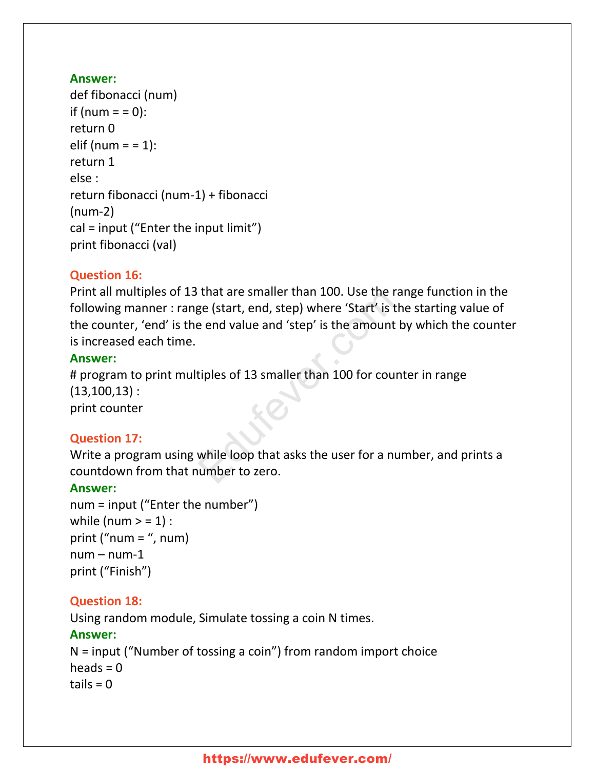### **Answer:**

```
def fibonacci (num)
if (num = = 0):
return 0
elif (num = = \pm 1):
return 1
else :
return fibonacci (num-1) + fibonacci
(num-2)
cal = input ("Enter the input limit")
print fibonacci (val)
```
# **Question 16:**

Print all multiples of 13 that are smaller than 100. Use the range function in the following manner : range (start, end, step) where 'Start' is the starting value of the counter, 'end' is the end value and 'step' is the amount by which the counter is increased each time. That are smaller than 100. Ose the rar<br>ge (start, end, step) where 'Start' is the<br>e end value and 'step' is the amount by<br>tiples of 13 smaller than 100 for count<br>while loop that asks the user for a num<br>umber to zero.

### **Answer:**

# program to print multiples of 13 smaller than 100 for counter in range  $(13,100,13)$ :

print counter

# **Question 17:**

Write a program using while loop that asks the user for a number, and prints a countdown from that number to zero.

# **Answer:**

```
num = input ("Enter the number")
while (num > = 1) :
print ("num = ", num)
num - num-1print ("Finish")
```
# **Question 18:**

Using random module, Simulate tossing a coin N times.

# **Answer:**

N = input ("Number of tossing a coin") from random import choice heads  $= 0$  $tails = 0$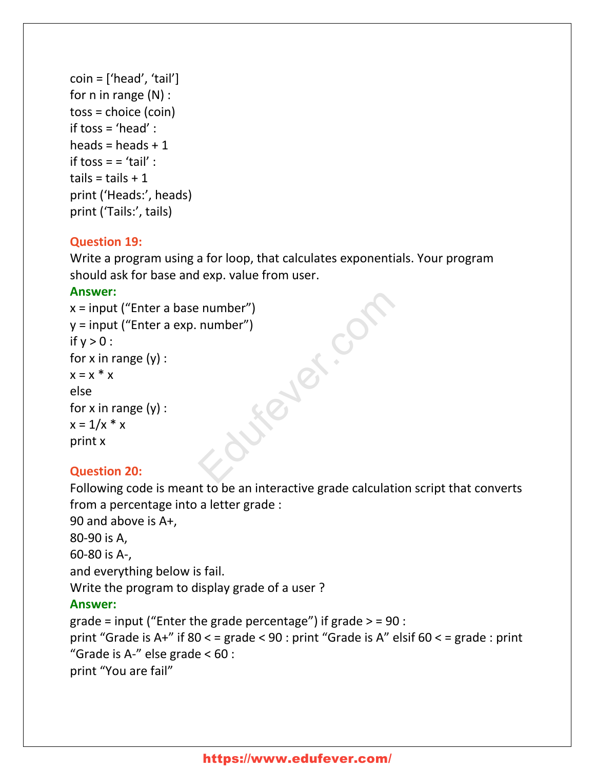```
coin = ['head', 'tail']for n in range (N) :
toss = choice (coin)
if toss = 'head' :
heads = heads +1if toss = = 'tail' :
tails = tails +1print ('Heads:', heads)
print ('Tails:', tails)
```
### **Question 19:**

Write a program using a for loop, that calculates exponentials. Your program should ask for base and exp. value from user.

### **Answer:**

```
x = input ("Enter a base number")
y = input ("Enter a exp. number")
if y > 0 :
for x in range (y) :
x = x^* xelse
for x in range (y) :
x = 1/x * xprint x
                               Febr.com
```
# **Question 20:**

Following code is meant to be an interactive grade calculation script that converts from a percentage into a letter grade :

```
90 and above is A+,
80-90 is A,
60-80 is A-,
and everything below is fail.
Write the program to display grade of a user ?
Answer:
grade = input ("Enter the grade percentage") if grade > = 90 :
print "Grade is A+" if 80 < = grade < 90 : print "Grade is A" elsif 60 < = grade : print
```

```
"Grade is A-" else grade < 60 :
```

```
print "You are fail"
```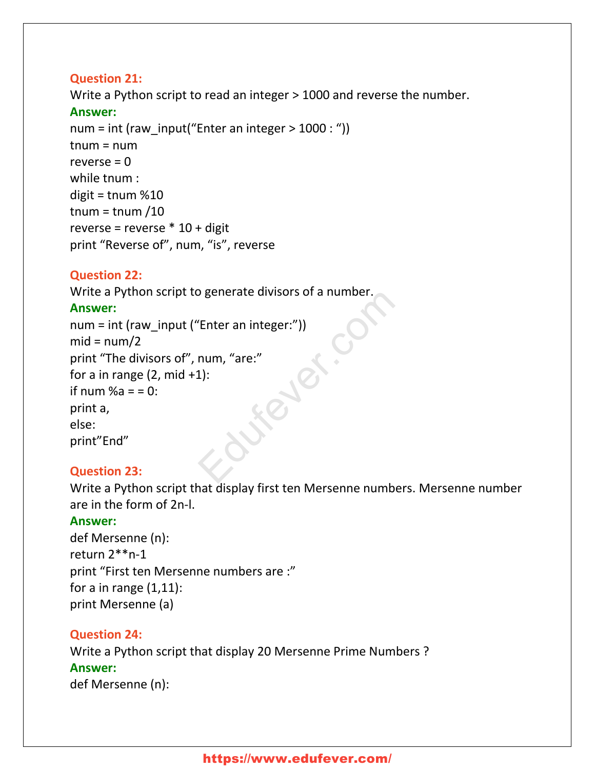### **Question 21:**

Write a Python script to read an integer > 1000 and reverse the number.

### **Answer:**

num = int (raw\_input("Enter an integer  $> 1000$  : "))  $tnum = num$ reverse  $= 0$ while tnum : digit = tnum %10 tnum = tnum  $/10$ reverse = reverse  $*$  10 + digit print "Reverse of", num, "is", reverse

# **Question 22:**

Write a Python script to generate divisors of a number.

# **Answer:**

num = int (raw\_input ("Enter an integer:"))  $mid = num/2$ print "The divisors of", num, "are:" for a in range  $(2, mid +1)$ : if num  $%a = 0$ : print a, else: print"End" Sigenerate divisors of a number.<br>
"Enter an integer:")<br>
num, "are:"<br>
1):

# **Question 23:**

Write a Python script that display first ten Mersenne numbers. Mersenne number are in the form of 2n-l.

# **Answer:**

def Mersenne (n): return 2\*\*n-1 print "First ten Mersenne numbers are :" for a in range  $(1,11)$ : print Mersenne (a)

# **Question 24:**

Write a Python script that display 20 Mersenne Prime Numbers ? **Answer:** def Mersenne (n):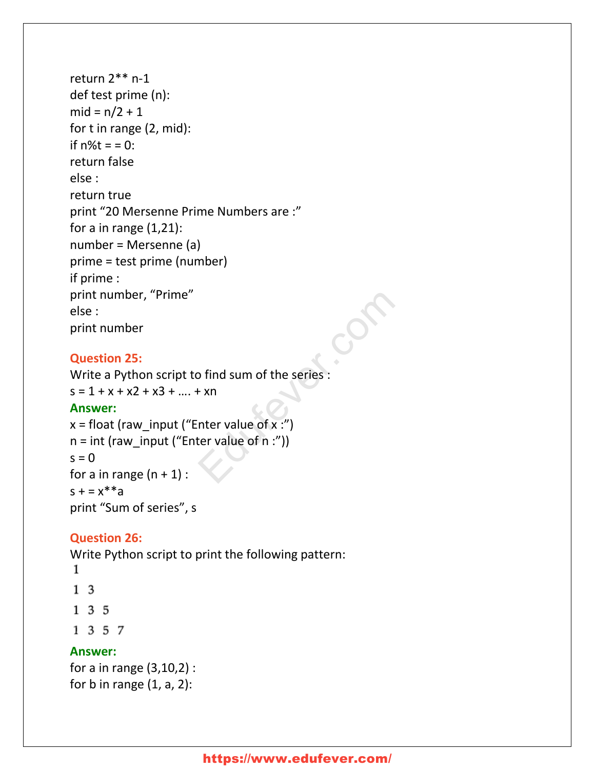```
return 2** n-1
def test prime (n):
mid = n/2 + 1for t in range (2, mid):
if n\%t = 0:
return false
else :
return true
print "20 Mersenne Prime Numbers are :"
for a in range (1,21):
number = Mersenne (a)
prime = test prime (number)
if prime :
print number, "Prime"
else :
print number
```
# **Question 25:**

Write a Python script to find sum of the series :  $s = 1 + x + x^2 + x^3 + \dots + x^n$ 

### **Answer:**

```
x = float (raw input ("Enter value of x :")
n = int (raw input ("Enter value of n :"))s = 0for a in range (n + 1):
s + = x^{**}aprint "Sum of series", s
                              o find sum of the series:<br>
F xn<br>
nter value of x :")<br>
ter value of n :"))
```
# **Question 26:**

Write Python script to print the following pattern:

- 1
- $1\quad3$
- $135$
- 1 3 5 7

# **Answer:**

```
for a in range (3,10,2) :
for b in range (1, a, 2):
```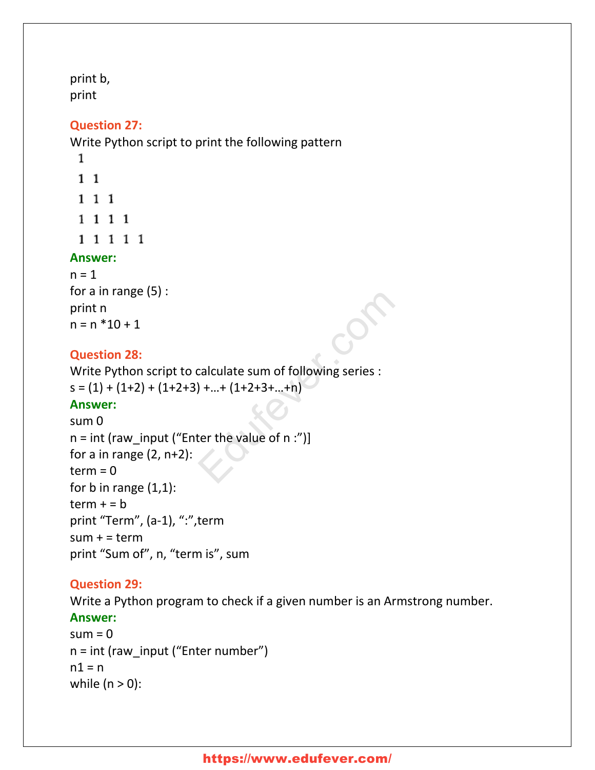print b, print

### **Question 27:**

Write Python script to print the following pattern

- 1
- $1\quad1$
- 1 1 1 1 1 1 1
- 1 1 1 1 1

# **Answer:**

 $n = 1$ for a in range (5) : print n  $n = n * 10 + 1$ 

# **Question 28:**

Write Python script to calculate sum of following series :  $s = (1) + (1+2) + (1+2+3) + ... + (1+2+3+...+n)$ 

# **Answer:**

```
sum 0
n = int (raw input ("Enter the value of n :")]
for a in range (2, n+2):
term = 0for b in range (1,1):
term + = bprint "Term", (a-1), ":", term
sum + = termprint "Sum of", n, "term is", sum
                             calculate sum of following series :<br>) +...+ (1+2+3+...+n)<br>ter the value of n :")]
```
# **Question 29:**

Write a Python program to check if a given number is an Armstrong number.

# **Answer:**

```
sum = 0n = int (raw_input ("Enter number")
n1 = nwhile (n > 0):
```